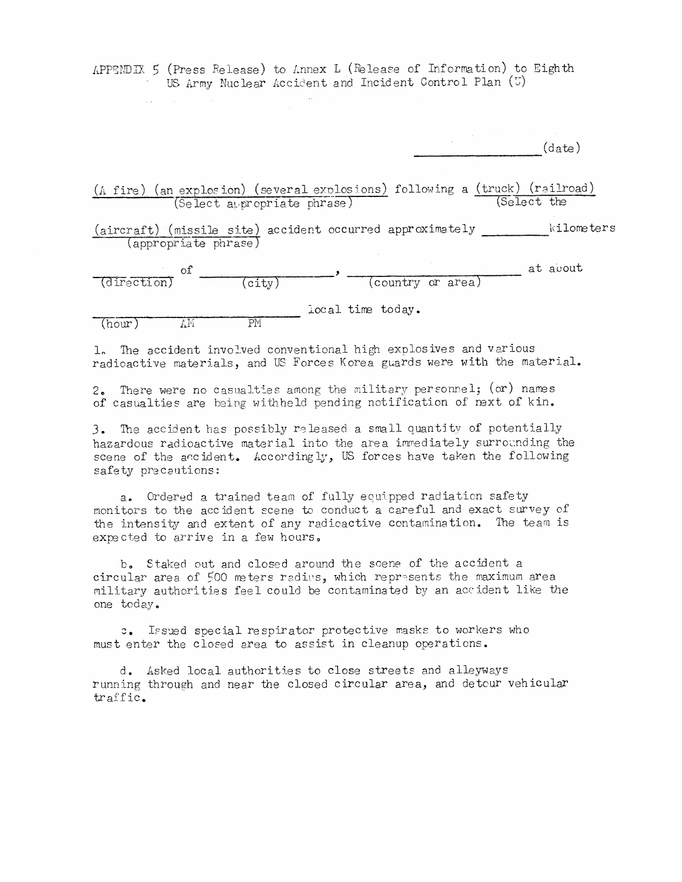APPENDIX 5 (Press Release) to Annex L (Release of Information) to Eighth US Army Nuclear Accident and Incident Control Plan (U)

 $(date)$ 

(A fire) (an explosion) (several explosions) following a (truck) (railroad) (Select appropriate phrase) (Select the

(aircraft) (missile site) accident occurred approximately \_\_\_\_\_\_\_\_\_\_\_kilometers (appropriate phrase)

 $\frac{\text{of}}{\text{(direction)}}$   $\frac{\text{of}}{\text{(city)}}$  (country or area) at about Docal time today.

 $\overline{AM}$  $(hour)$ 

 $\sim 10^{-11}$ 

1. The accident involved conventional high explosives and various radioactive materials, and US Forces Korea guards were with the material.

2. There were no casualties among the military personnel; (or) names of casualties are being withheld pending notification of next of kin.

3. The accident has possibly released a small quantity of potentially hazardous radioactive material into the area immediately surrounding the scene of the accident. Accordingly, US forces have taken the following safety precautions:

a. Ordered a trained team of fully equipped radiation safety monitors to the accident scene to conduct a careful and exact survey of the intensity and extent of any radioactive contamination. The team is expected to arrive in a few hours.

b. Staked out and closed around the scene of the accident a circular area of 500 meters radius, which represents the maximum area military authorities feel could be contaminated by an accident like the one today.

c. Issued special respirator protective masks to workers who must enter the closed area to assist in cleanup operations.

d. Asked local authorities to close streets and alleyways running through and near the closed circular area, and detcur vehicular traffic.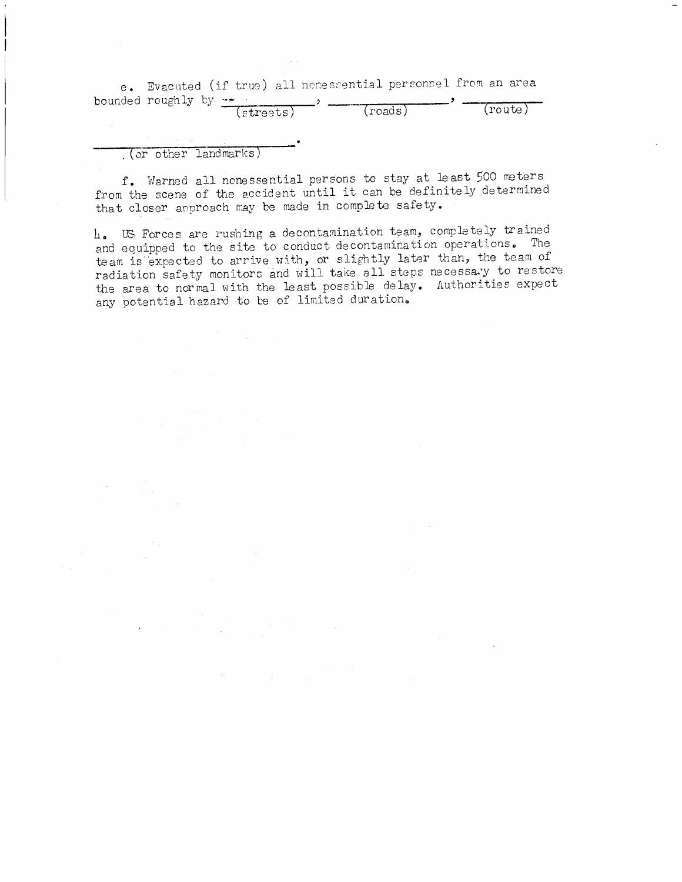e. Evacuted (if true) all nonessential personnel from an area  $\frac{1}{2}$ bounded roughly by  $\cdots$ أرواد

| (streets) | _______________<br>(roads) | (route) |
|-----------|----------------------------|---------|
|           |                            |         |

(or other landmarks)

 $\sim$ 

f. Warned all nonessential persons to stay at least 500 meters from the scene of the accident until it can be definitely determined that closer approach may be made in complete safety.

4. US Forces are rushing a decontamination team, completely trained and equipped to the site to conduct decontamination operations. The team is expected to arrive with, or slightly later than, the team of radiation safety monitors and will take all steps necessary to restore the area to normal with the least possible delay. Authorities expect any potential hazard to be of limited duration.